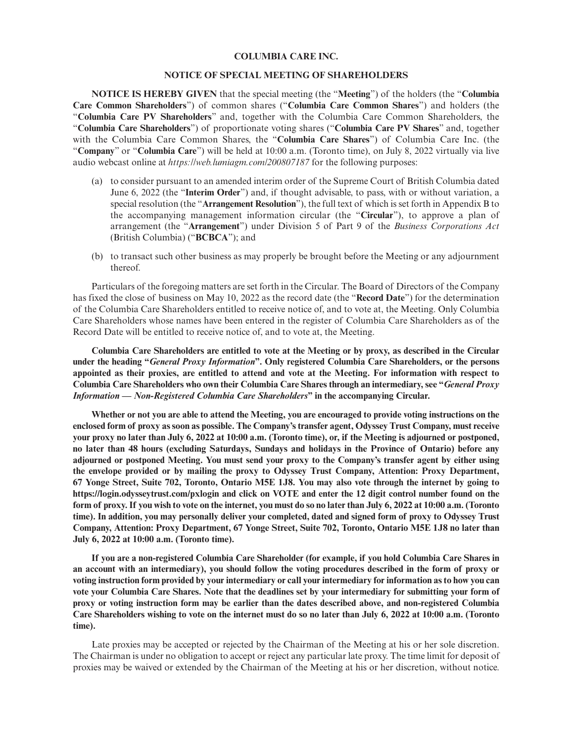## **COLUMBIA CARE INC.**

## **NOTICE OF SPECIAL MEETING OF SHAREHOLDERS**

**NOTICE IS HEREBY GIVEN** that the special meeting (the "**Meeting**") of the holders (the "**Columbia Care Common Shareholders**") of common shares ("**Columbia Care Common Shares**") and holders (the "**Columbia Care PV Shareholders**" and, together with the Columbia Care Common Shareholders, the "**Columbia Care Shareholders**") of proportionate voting shares ("**Columbia Care PV Shares**" and, together with the Columbia Care Common Shares, the "**Columbia Care Shares**") of Columbia Care Inc. (the "**Company**" or "**Columbia Care**") will be held at 10:00 a.m. (Toronto time), on July 8, 2022 virtually via live audio webcast online at *https://web.lumiagm.com/200807187* for the following purposes:

- (a) to consider pursuant to an amended interim order of the Supreme Court of British Columbia dated June 6, 2022 (the "**Interim Order**") and, if thought advisable, to pass, with or without variation, a special resolution (the "**Arrangement Resolution**"), the full text of which is set forth in Appendix B to the accompanying management information circular (the "**Circular**"), to approve a plan of arrangement (the "**Arrangement**") under Division 5 of Part 9 of the *Business Corporations Act* (British Columbia) ("**BCBCA**"); and
- (b) to transact such other business as may properly be brought before the Meeting or any adjournment thereof.

Particulars of the foregoing matters are set forth in the Circular. The Board of Directors of the Company has fixed the close of business on May 10, 2022 as the record date (the "**Record Date**") for the determination of the Columbia Care Shareholders entitled to receive notice of, and to vote at, the Meeting. Only Columbia Care Shareholders whose names have been entered in the register of Columbia Care Shareholders as of the Record Date will be entitled to receive notice of, and to vote at, the Meeting.

**Columbia Care Shareholders are entitled to vote at the Meeting or by proxy, as described in the Circular under the heading "***General Proxy Information***". Only registered Columbia Care Shareholders, or the persons appointed as their proxies, are entitled to attend and vote at the Meeting. For information with respect to Columbia Care Shareholders who own their Columbia Care Shares through an intermediary, see "***General Proxy Information — Non-Registered Columbia Care Shareholders***" in the accompanying Circular.**

**Whether or not you are able to attend the Meeting, you are encouraged to provide voting instructions on the enclosed form of proxy as soon as possible. The Company's transfer agent, Odyssey Trust Company, must receive your proxy no later than July 6, 2022 at 10:00 a.m. (Toronto time), or, if the Meeting is adjourned or postponed, no later than 48 hours (excluding Saturdays, Sundays and holidays in the Province of Ontario) before any adjourned or postponed Meeting. You must send your proxy to the Company's transfer agent by either using the envelope provided or by mailing the proxy to Odyssey Trust Company, Attention: Proxy Department, 67 Yonge Street, Suite 702, Toronto, Ontario M5E 1J8. You may also vote through the internet by going to https://login.odysseytrust.com/pxlogin and click on VOTE and enter the 12 digit control number found on the form of proxy. If you wish to vote on the internet, you must do so no later than July 6, 2022 at 10:00 a.m. (Toronto time). In addition, you may personally deliver your completed, dated and signed form of proxy to Odyssey Trust Company, Attention: Proxy Department, 67 Yonge Street, Suite 702, Toronto, Ontario M5E 1J8 no later than July 6, 2022 at 10:00 a.m. (Toronto time).**

**If you are a non-registered Columbia Care Shareholder (for example, if you hold Columbia Care Shares in an account with an intermediary), you should follow the voting procedures described in the form of proxy or voting instruction form provided by your intermediary or call your intermediary for information as to how you can vote your Columbia Care Shares. Note that the deadlines set by your intermediary for submitting your form of proxy or voting instruction form may be earlier than the dates described above, and non-registered Columbia Care Shareholders wishing to vote on the internet must do so no later than July 6, 2022 at 10:00 a.m. (Toronto time).**

Late proxies may be accepted or rejected by the Chairman of the Meeting at his or her sole discretion. The Chairman is under no obligation to accept or reject any particular late proxy. The time limit for deposit of proxies may be waived or extended by the Chairman of the Meeting at his or her discretion, without notice.